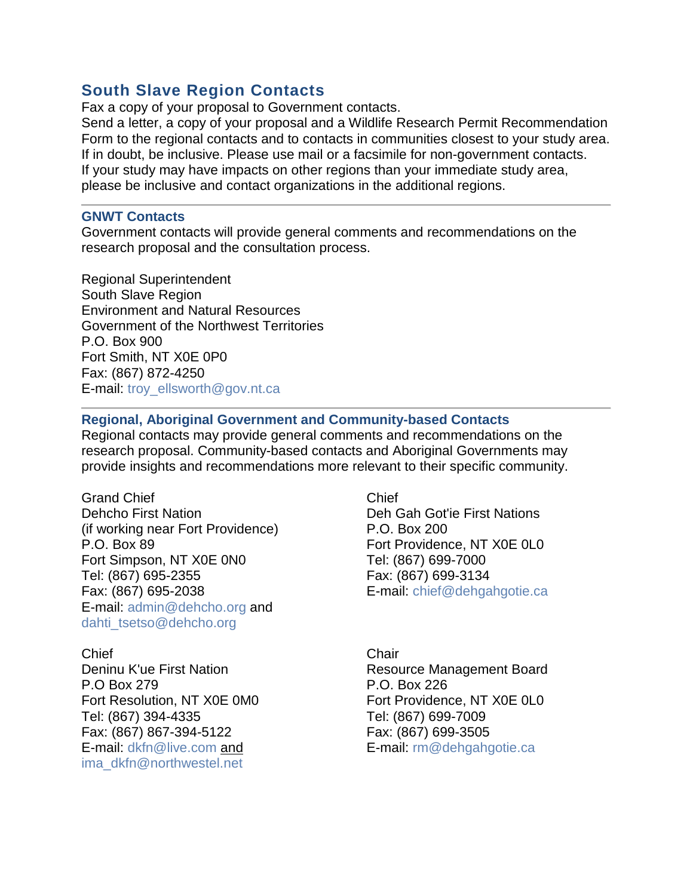## **South Slave Region Contacts**

Fax a copy of your proposal to Government contacts.

Send a letter, a copy of your proposal and a Wildlife Research Permit Recommendation Form to the regional contacts and to contacts in communities closest to your study area. If in doubt, be inclusive. Please use mail or a facsimile for non-government contacts. If your study may have impacts on other regions than your immediate study area, please be inclusive and contact organizations in the additional regions.

## **GNWT Contacts**

Government contacts will provide general comments and recommendations on the research proposal and the consultation process.

Regional Superintendent South Slave Region Environment and Natural Resources Government of the Northwest Territories P.O. Box 900 Fort Smith, NT X0E 0P0 Fax: (867) 872-4250 E-mail: [troy\\_ellsworth@gov.nt.ca](mailto:troy_ellsworth@gov.nt.ca)

## **Regional, Aboriginal Government and Community-based Contacts**

Regional contacts may provide general comments and recommendations on the research proposal. Community-based contacts and Aboriginal Governments may provide insights and recommendations more relevant to their specific community.

Grand Chief Chief Chief Chief Dehcho First Nation Deh Gah Got'ie First Nations (if working near Fort Providence) P.O. Box 200 P.O. Box 89 **For Providence, NT X0E 0L0** Fort Simpson, NT X0E 0N0 Tel: (867) 699-7000 Tel: (867) 695-2355 Fax: (867) 699-3134 Fax: (867) 695-2038 E-mail: [chief@dehgahgotie.ca](mailto:chief@dehgahgotie.ca) E-mail: [admin@dehcho.org](mailto:admin@dehcho.org) and [dahti\\_tsetso@dehcho.org](mailto:dahti_tsetso@dehcho.org)

Chief Chair Chair Chair P.O Box 279 P.O. Box 226 Tel: (867) 394-4335 Tel: (867) 699-7009 Fax: (867) 867-394-5122 Fax: (867) 699-3505 E-mail: [dkfn@live.com](mailto:dkfn@live.com) and E-mail: [rm@dehgahgotie.ca](mailto:rm@dehgahgotie.ca) [ima\\_dkfn@northwestel.net](mailto:ima_dkfn@northwestel.net)

Deninu K'ue First Nation Resource Management Board Fort Resolution, NT X0E 0M0 Fort Providence, NT X0E 0L0